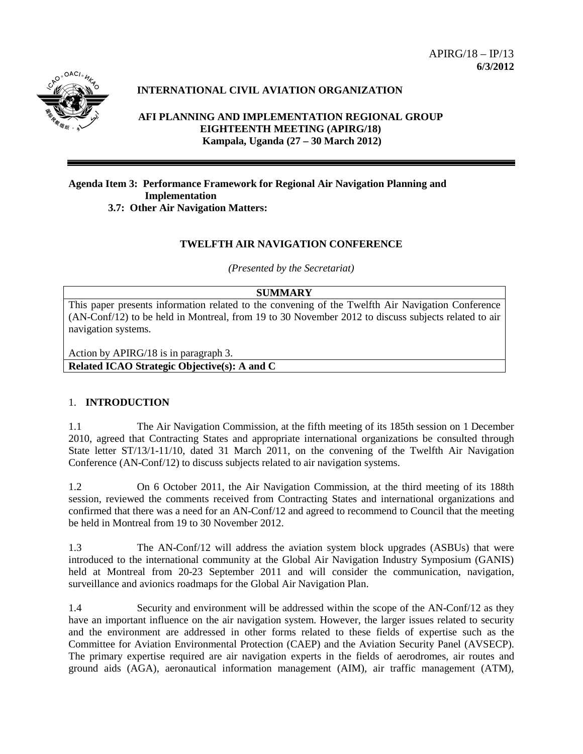

# **INTERNATIONAL CIVIL AVIATION ORGANIZATION**

## **AFI PLANNING AND IMPLEMENTATION REGIONAL GROUP EIGHTEENTH MEETING (APIRG/18) Kampala, Uganda (27 – 30 March 2012)**

#### **Agenda Item 3: Performance Framework for Regional Air Navigation Planning and Implementation 3.7: Other Air Navigation Matters:**

### **TWELFTH AIR NAVIGATION CONFERENCE**

*(Presented by the Secretariat)*

### **SUMMARY**

This paper presents information related to the convening of the Twelfth Air Navigation Conference (AN-Conf/12) to be held in Montreal, from 19 to 30 November 2012 to discuss subjects related to air navigation systems.

Action by APIRG/18 is in paragraph 3. **Related ICAO Strategic Objective(s): A and C**

### 1. **INTRODUCTION**

1.1 The Air Navigation Commission, at the fifth meeting of its 185th session on 1 December 2010, agreed that Contracting States and appropriate international organizations be consulted through State letter ST/13/1-11/10, dated 31 March 2011, on the convening of the Twelfth Air Navigation Conference (AN-Conf/12) to discuss subjects related to air navigation systems.

1.2 On 6 October 2011, the Air Navigation Commission, at the third meeting of its 188th session, reviewed the comments received from Contracting States and international organizations and confirmed that there was a need for an AN-Conf/12 and agreed to recommend to Council that the meeting be held in Montreal from 19 to 30 November 2012.

1.3 The AN-Conf/12 will address the aviation system block upgrades (ASBUs) that were introduced to the international community at the Global Air Navigation Industry Symposium (GANIS) held at Montreal from 20-23 September 2011 and will consider the communication, navigation, surveillance and avionics roadmaps for the Global Air Navigation Plan.

1.4 Security and environment will be addressed within the scope of the AN-Conf/12 as they have an important influence on the air navigation system. However, the larger issues related to security and the environment are addressed in other forms related to these fields of expertise such as the Committee for Aviation Environmental Protection (CAEP) and the Aviation Security Panel (AVSECP). The primary expertise required are air navigation experts in the fields of aerodromes, air routes and ground aids (AGA), aeronautical information management (AIM), air traffic management (ATM),